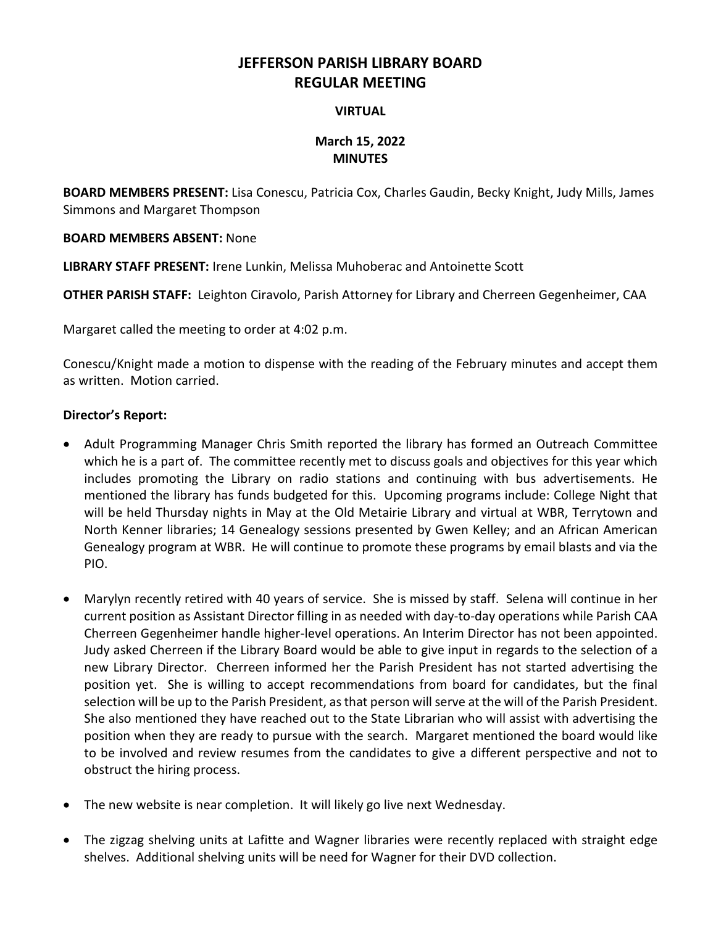# **JEFFERSON PARISH LIBRARY BOARD REGULAR MEETING**

### **VIRTUAL**

## **March 15, 2022 MINUTES**

**BOARD MEMBERS PRESENT:** Lisa Conescu, Patricia Cox, Charles Gaudin, Becky Knight, Judy Mills, James Simmons and Margaret Thompson

### **BOARD MEMBERS ABSENT:** None

**LIBRARY STAFF PRESENT:** Irene Lunkin, Melissa Muhoberac and Antoinette Scott

**OTHER PARISH STAFF:** Leighton Ciravolo, Parish Attorney for Library and Cherreen Gegenheimer, CAA

Margaret called the meeting to order at 4:02 p.m.

Conescu/Knight made a motion to dispense with the reading of the February minutes and accept them as written. Motion carried.

### **Director's Report:**

- Adult Programming Manager Chris Smith reported the library has formed an Outreach Committee which he is a part of. The committee recently met to discuss goals and objectives for this year which includes promoting the Library on radio stations and continuing with bus advertisements. He mentioned the library has funds budgeted for this. Upcoming programs include: College Night that will be held Thursday nights in May at the Old Metairie Library and virtual at WBR, Terrytown and North Kenner libraries; 14 Genealogy sessions presented by Gwen Kelley; and an African American Genealogy program at WBR. He will continue to promote these programs by email blasts and via the PIO.
- Marylyn recently retired with 40 years of service. She is missed by staff. Selena will continue in her current position as Assistant Director filling in as needed with day-to-day operations while Parish CAA Cherreen Gegenheimer handle higher-level operations. An Interim Director has not been appointed. Judy asked Cherreen if the Library Board would be able to give input in regards to the selection of a new Library Director. Cherreen informed her the Parish President has not started advertising the position yet. She is willing to accept recommendations from board for candidates, but the final selection will be up to the Parish President, as that person will serve at the will of the Parish President. She also mentioned they have reached out to the State Librarian who will assist with advertising the position when they are ready to pursue with the search. Margaret mentioned the board would like to be involved and review resumes from the candidates to give a different perspective and not to obstruct the hiring process.
- The new website is near completion. It will likely go live next Wednesday.
- The zigzag shelving units at Lafitte and Wagner libraries were recently replaced with straight edge shelves. Additional shelving units will be need for Wagner for their DVD collection.